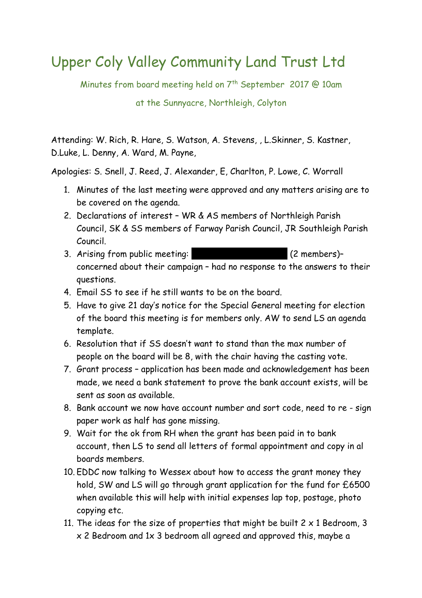## Upper Coly Valley Community Land Trust Ltd

Minutes from board meeting held on 7<sup>th</sup> September 2017 @ 10am

at the Sunnyacre, Northleigh, Colyton

Attending: W. Rich, R. Hare, S. Watson, A. Stevens, , L.Skinner, S. Kastner, D.Luke, L. Denny, A. Ward, M. Payne,

Apologies: S. Snell, J. Reed, J. Alexander, E, Charlton, P. Lowe, C. Worrall

- 1. Minutes of the last meeting were approved and any matters arising are to be covered on the agenda.
- 2. Declarations of interest WR & AS members of Northleigh Parish Council, SK & SS members of Farway Parish Council, JR Southleigh Parish Council.
- 3. Arising from public meeting: Equation 12 members)concerned about their campaign - had no response to the answers to their questions.
- 4. Email SS to see if he still wants to be on the board.
- 5. Have to give 21 day's notice for the Special General meeting for election of the board this meeting is for members only. AW to send LS an agenda template.
- 6. Resolution that if SS doesn't want to stand than the max number of people on the board will be 8, with the chair having the casting vote.
- 7. Grant process application has been made and acknowledgement has been made, we need a bank statement to prove the bank account exists, will be sent as soon as available.
- 8. Bank account we now have account number and sort code, need to re sign paper work as half has gone missing.
- 9. Wait for the ok from RH when the grant has been paid in to bank account, then LS to send all letters of formal appointment and copy in al boards members.
- 10. EDDC now talking to Wessex about how to access the grant money they hold, SW and LS will go through grant application for the fund for £6500 when available this will help with initial expenses lap top, postage, photo copying etc.
- 11. The ideas for the size of properties that might be built  $2 \times 1$  Bedroom, 3 x 2 Bedroom and 1x 3 bedroom all agreed and approved this, maybe a